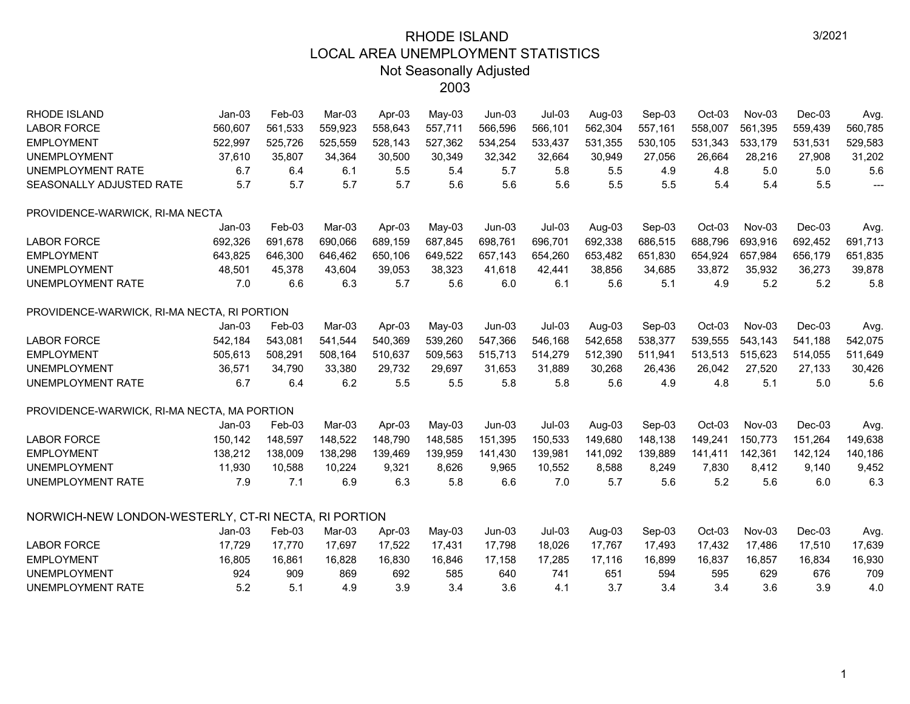| <b>RHODE ISLAND</b>                                  | $Jan-03$ | Feb-03  | Mar-03  | Apr-03  | May-03   | $Jun-03$ | $Jul-03$ | Aug-03  | Sep-03  | $Oct-03$ | Nov-03  | Dec-03   | Avg.                     |
|------------------------------------------------------|----------|---------|---------|---------|----------|----------|----------|---------|---------|----------|---------|----------|--------------------------|
| <b>LABOR FORCE</b>                                   | 560,607  | 561,533 | 559,923 | 558,643 | 557,711  | 566,596  | 566,101  | 562,304 | 557,161 | 558,007  | 561,395 | 559,439  | 560,785                  |
| <b>EMPLOYMENT</b>                                    | 522,997  | 525,726 | 525,559 | 528,143 | 527,362  | 534,254  | 533,437  | 531,355 | 530,105 | 531,343  | 533,179 | 531,531  | 529,583                  |
| <b>UNEMPLOYMENT</b>                                  | 37,610   | 35,807  | 34,364  | 30,500  | 30,349   | 32,342   | 32,664   | 30,949  | 27,056  | 26,664   | 28,216  | 27,908   | 31,202                   |
| <b>UNEMPLOYMENT RATE</b>                             | 6.7      | 6.4     | 6.1     | 5.5     | 5.4      | 5.7      | 5.8      | 5.5     | 4.9     | 4.8      | 5.0     | 5.0      | 5.6                      |
| SEASONALLY ADJUSTED RATE                             | 5.7      | 5.7     | 5.7     | 5.7     | 5.6      | 5.6      | 5.6      | 5.5     | 5.5     | 5.4      | 5.4     | 5.5      | $\overline{\phantom{a}}$ |
| PROVIDENCE-WARWICK, RI-MA NECTA                      |          |         |         |         |          |          |          |         |         |          |         |          |                          |
|                                                      | $Jan-03$ | Feb-03  | Mar-03  | Apr-03  | $May-03$ | $Jun-03$ | $Jul-03$ | Aug-03  | Sep-03  | Oct-03   | Nov-03  | Dec-03   | Avg.                     |
| <b>LABOR FORCE</b>                                   | 692,326  | 691,678 | 690,066 | 689,159 | 687,845  | 698,761  | 696,701  | 692,338 | 686,515 | 688,796  | 693,916 | 692,452  | 691,713                  |
| <b>EMPLOYMENT</b>                                    | 643,825  | 646,300 | 646,462 | 650,106 | 649,522  | 657,143  | 654,260  | 653,482 | 651,830 | 654,924  | 657,984 | 656,179  | 651,835                  |
| <b>UNEMPLOYMENT</b>                                  | 48,501   | 45,378  | 43,604  | 39,053  | 38,323   | 41,618   | 42,441   | 38,856  | 34,685  | 33,872   | 35,932  | 36,273   | 39,878                   |
| <b>UNEMPLOYMENT RATE</b>                             | 7.0      | 6.6     | 6.3     | 5.7     | 5.6      | 6.0      | 6.1      | 5.6     | 5.1     | 4.9      | 5.2     | 5.2      | 5.8                      |
| PROVIDENCE-WARWICK, RI-MA NECTA, RI PORTION          |          |         |         |         |          |          |          |         |         |          |         |          |                          |
|                                                      | $Jan-03$ | Feb-03  | Mar-03  | Apr-03  | $May-03$ | $Jun-03$ | $Jul-03$ | Aug-03  | Sep-03  | Oct-03   | Nov-03  | Dec-03   | Avg.                     |
| <b>LABOR FORCE</b>                                   | 542,184  | 543,081 | 541,544 | 540,369 | 539,260  | 547,366  | 546,168  | 542,658 | 538,377 | 539,555  | 543,143 | 541,188  | 542,075                  |
| <b>EMPLOYMENT</b>                                    | 505,613  | 508,291 | 508,164 | 510,637 | 509,563  | 515,713  | 514,279  | 512,390 | 511,941 | 513,513  | 515,623 | 514,055  | 511,649                  |
| <b>UNEMPLOYMENT</b>                                  | 36,571   | 34,790  | 33,380  | 29,732  | 29,697   | 31,653   | 31,889   | 30,268  | 26,436  | 26,042   | 27,520  | 27,133   | 30,426                   |
| UNEMPLOYMENT RATE                                    | 6.7      | 6.4     | 6.2     | 5.5     | 5.5      | 5.8      | 5.8      | 5.6     | 4.9     | 4.8      | 5.1     | 5.0      | 5.6                      |
| PROVIDENCE-WARWICK, RI-MA NECTA, MA PORTION          |          |         |         |         |          |          |          |         |         |          |         |          |                          |
|                                                      | $Jan-03$ | Feb-03  | Mar-03  | Apr-03  | $May-03$ | $Jun-03$ | $Jul-03$ | Aug-03  | Sep-03  | Oct-03   | Nov-03  | $Dec-03$ | Avg.                     |
| <b>LABOR FORCE</b>                                   | 150,142  | 148,597 | 148,522 | 148,790 | 148,585  | 151,395  | 150,533  | 149,680 | 148,138 | 149,241  | 150,773 | 151,264  | 149,638                  |
| <b>EMPLOYMENT</b>                                    | 138,212  | 138,009 | 138,298 | 139,469 | 139,959  | 141,430  | 139,981  | 141,092 | 139,889 | 141,411  | 142,361 | 142,124  | 140,186                  |
| <b>UNEMPLOYMENT</b>                                  | 11,930   | 10,588  | 10,224  | 9,321   | 8,626    | 9,965    | 10,552   | 8,588   | 8,249   | 7,830    | 8,412   | 9,140    | 9,452                    |
| UNEMPLOYMENT RATE                                    | 7.9      | 7.1     | 6.9     | 6.3     | 5.8      | 6.6      | 7.0      | 5.7     | 5.6     | 5.2      | 5.6     | 6.0      | 6.3                      |
| NORWICH-NEW LONDON-WESTERLY, CT-RI NECTA, RI PORTION |          |         |         |         |          |          |          |         |         |          |         |          |                          |
|                                                      | $Jan-03$ | Feb-03  | Mar-03  | Apr-03  | May-03   | $Jun-03$ | $Jul-03$ | Aug-03  | Sep-03  | Oct-03   | Nov-03  | $Dec-03$ | Avg.                     |
| <b>LABOR FORCE</b>                                   | 17,729   | 17,770  | 17,697  | 17,522  | 17,431   | 17,798   | 18,026   | 17,767  | 17,493  | 17,432   | 17,486  | 17,510   | 17,639                   |
| <b>EMPLOYMENT</b>                                    | 16,805   | 16,861  | 16,828  | 16,830  | 16,846   | 17,158   | 17,285   | 17,116  | 16,899  | 16,837   | 16,857  | 16,834   | 16,930                   |
| <b>UNEMPLOYMENT</b>                                  | 924      | 909     | 869     | 692     | 585      | 640      | 741      | 651     | 594     | 595      | 629     | 676      | 709                      |
| UNEMPLOYMENT RATE                                    | 5.2      | 5.1     | 4.9     | 3.9     | 3.4      | 3.6      | 4.1      | 3.7     | 3.4     | 3.4      | 3.6     | 3.9      | 4.0                      |
|                                                      |          |         |         |         |          |          |          |         |         |          |         |          |                          |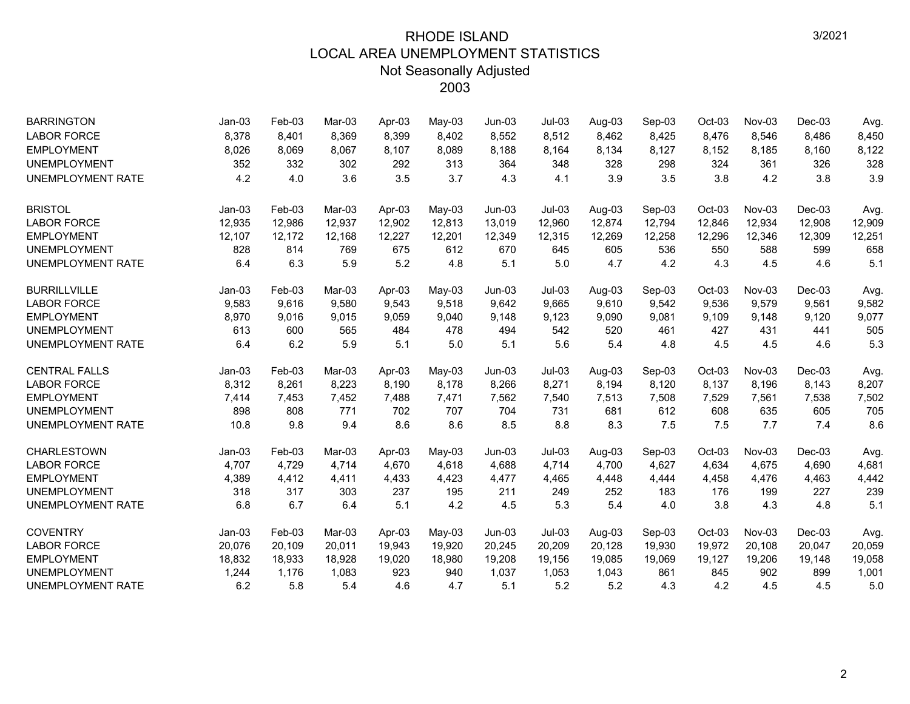| <b>BARRINGTON</b>        | $Jan-03$ | Feb-03 | Mar-03 | Apr-03 | $May-03$ | $Jun-03$ | $Jul-03$ | Aug-03 | Sep-03 | Oct-03 | Nov-03 | $Dec-03$ | Avg.   |
|--------------------------|----------|--------|--------|--------|----------|----------|----------|--------|--------|--------|--------|----------|--------|
| <b>LABOR FORCE</b>       | 8,378    | 8,401  | 8,369  | 8,399  | 8,402    | 8,552    | 8,512    | 8,462  | 8,425  | 8,476  | 8,546  | 8,486    | 8,450  |
| <b>EMPLOYMENT</b>        | 8,026    | 8,069  | 8,067  | 8,107  | 8,089    | 8,188    | 8,164    | 8,134  | 8,127  | 8,152  | 8,185  | 8,160    | 8,122  |
| <b>UNEMPLOYMENT</b>      | 352      | 332    | 302    | 292    | 313      | 364      | 348      | 328    | 298    | 324    | 361    | 326      | 328    |
| <b>UNEMPLOYMENT RATE</b> | 4.2      | 4.0    | 3.6    | 3.5    | 3.7      | 4.3      | 4.1      | 3.9    | 3.5    | 3.8    | 4.2    | 3.8      | 3.9    |
| <b>BRISTOL</b>           | $Jan-03$ | Feb-03 | Mar-03 | Apr-03 | May-03   | $Jun-03$ | $Jul-03$ | Aug-03 | Sep-03 | Oct-03 | Nov-03 | $Dec-03$ | Avg.   |
| <b>LABOR FORCE</b>       | 12,935   | 12,986 | 12,937 | 12,902 | 12,813   | 13,019   | 12,960   | 12,874 | 12,794 | 12,846 | 12,934 | 12,908   | 12,909 |
| <b>EMPLOYMENT</b>        | 12,107   | 12,172 | 12,168 | 12,227 | 12,201   | 12,349   | 12,315   | 12,269 | 12,258 | 12,296 | 12,346 | 12,309   | 12,251 |
| <b>UNEMPLOYMENT</b>      | 828      | 814    | 769    | 675    | 612      | 670      | 645      | 605    | 536    | 550    | 588    | 599      | 658    |
| <b>UNEMPLOYMENT RATE</b> | 6.4      | 6.3    | 5.9    | 5.2    | 4.8      | 5.1      | 5.0      | 4.7    | 4.2    | 4.3    | 4.5    | 4.6      | 5.1    |
| <b>BURRILLVILLE</b>      | $Jan-03$ | Feb-03 | Mar-03 | Apr-03 | May-03   | $Jun-03$ | $Jul-03$ | Aug-03 | Sep-03 | Oct-03 | Nov-03 | $Dec-03$ | Avg.   |
| <b>LABOR FORCE</b>       | 9,583    | 9,616  | 9,580  | 9,543  | 9,518    | 9,642    | 9,665    | 9,610  | 9,542  | 9,536  | 9,579  | 9,561    | 9,582  |
| <b>EMPLOYMENT</b>        | 8,970    | 9,016  | 9,015  | 9,059  | 9,040    | 9,148    | 9,123    | 9,090  | 9,081  | 9,109  | 9,148  | 9,120    | 9,077  |
| <b>UNEMPLOYMENT</b>      | 613      | 600    | 565    | 484    | 478      | 494      | 542      | 520    | 461    | 427    | 431    | 441      | 505    |
| <b>UNEMPLOYMENT RATE</b> | 6.4      | 6.2    | 5.9    | 5.1    | 5.0      | 5.1      | 5.6      | 5.4    | 4.8    | 4.5    | 4.5    | 4.6      | 5.3    |
| <b>CENTRAL FALLS</b>     | $Jan-03$ | Feb-03 | Mar-03 | Apr-03 | $May-03$ | $Jun-03$ | $Jul-03$ | Aug-03 | Sep-03 | Oct-03 | Nov-03 | $Dec-03$ | Avg.   |
| <b>LABOR FORCE</b>       | 8,312    | 8,261  | 8,223  | 8,190  | 8,178    | 8,266    | 8,271    | 8,194  | 8,120  | 8,137  | 8,196  | 8,143    | 8,207  |
| <b>EMPLOYMENT</b>        | 7,414    | 7,453  | 7,452  | 7,488  | 7,471    | 7,562    | 7,540    | 7,513  | 7,508  | 7,529  | 7,561  | 7,538    | 7,502  |
| <b>UNEMPLOYMENT</b>      | 898      | 808    | 771    | 702    | 707      | 704      | 731      | 681    | 612    | 608    | 635    | 605      | 705    |
| UNEMPLOYMENT RATE        | 10.8     | 9.8    | 9.4    | 8.6    | 8.6      | 8.5      | 8.8      | 8.3    | 7.5    | 7.5    | 7.7    | 7.4      | 8.6    |
| <b>CHARLESTOWN</b>       | $Jan-03$ | Feb-03 | Mar-03 | Apr-03 | $May-03$ | $Jun-03$ | $Jul-03$ | Aug-03 | Sep-03 | Oct-03 | Nov-03 | $Dec-03$ | Avg.   |
| <b>LABOR FORCE</b>       | 4,707    | 4,729  | 4,714  | 4,670  | 4,618    | 4,688    | 4,714    | 4,700  | 4,627  | 4,634  | 4,675  | 4,690    | 4,681  |
| <b>EMPLOYMENT</b>        | 4,389    | 4.412  | 4,411  | 4,433  | 4,423    | 4,477    | 4,465    | 4,448  | 4,444  | 4,458  | 4,476  | 4,463    | 4,442  |
| <b>UNEMPLOYMENT</b>      | 318      | 317    | 303    | 237    | 195      | 211      | 249      | 252    | 183    | 176    | 199    | 227      | 239    |
| <b>UNEMPLOYMENT RATE</b> | 6.8      | 6.7    | 6.4    | 5.1    | 4.2      | 4.5      | 5.3      | 5.4    | 4.0    | 3.8    | 4.3    | 4.8      | 5.1    |
| <b>COVENTRY</b>          | $Jan-03$ | Feb-03 | Mar-03 | Apr-03 | $May-03$ | $Jun-03$ | $Jul-03$ | Aug-03 | Sep-03 | Oct-03 | Nov-03 | $Dec-03$ | Avg.   |
| <b>LABOR FORCE</b>       | 20,076   | 20,109 | 20,011 | 19,943 | 19,920   | 20,245   | 20,209   | 20,128 | 19,930 | 19,972 | 20,108 | 20,047   | 20,059 |
| <b>EMPLOYMENT</b>        | 18,832   | 18,933 | 18,928 | 19,020 | 18,980   | 19,208   | 19,156   | 19,085 | 19,069 | 19,127 | 19,206 | 19,148   | 19,058 |
| <b>UNEMPLOYMENT</b>      | 1,244    | 1,176  | 1,083  | 923    | 940      | 1,037    | 1,053    | 1,043  | 861    | 845    | 902    | 899      | 1,001  |
| <b>UNEMPLOYMENT RATE</b> | 6.2      | 5.8    | 5.4    | 4.6    | 4.7      | 5.1      | 5.2      | 5.2    | 4.3    | 4.2    | 4.5    | 4.5      | 5.0    |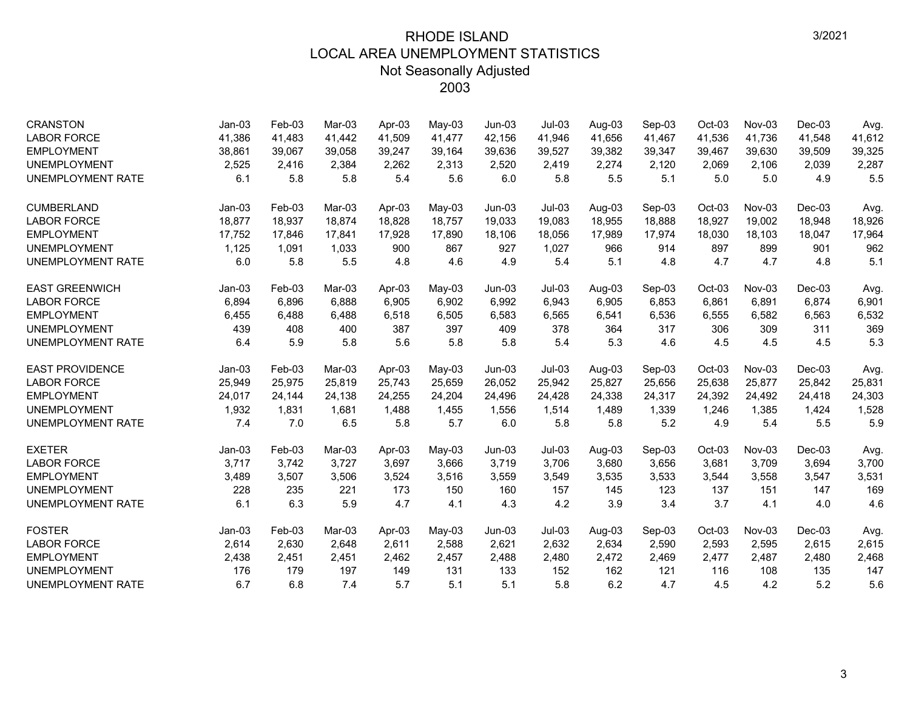| <b>CRANSTON</b>          | $Jan-03$ | Feb-03   | Mar-03 | Apr-03 | May-03   | $Jun-03$ | $Jul-03$ | Aug-03 | Sep-03 | Oct-03   | $Nov-03$ | $Dec-03$ | Avg.   |
|--------------------------|----------|----------|--------|--------|----------|----------|----------|--------|--------|----------|----------|----------|--------|
| <b>LABOR FORCE</b>       | 41,386   | 41,483   | 41,442 | 41,509 | 41,477   | 42,156   | 41,946   | 41,656 | 41,467 | 41,536   | 41,736   | 41,548   | 41,612 |
| <b>EMPLOYMENT</b>        | 38,861   | 39,067   | 39,058 | 39,247 | 39,164   | 39,636   | 39,527   | 39,382 | 39,347 | 39,467   | 39,630   | 39,509   | 39,325 |
| <b>UNEMPLOYMENT</b>      | 2,525    | 2,416    | 2,384  | 2,262  | 2,313    | 2.520    | 2,419    | 2,274  | 2,120  | 2,069    | 2.106    | 2,039    | 2,287  |
| <b>UNEMPLOYMENT RATE</b> | 6.1      | 5.8      | 5.8    | 5.4    | 5.6      | 6.0      | 5.8      | 5.5    | 5.1    | 5.0      | 5.0      | 4.9      | 5.5    |
| <b>CUMBERLAND</b>        | $Jan-03$ | Feb-03   | Mar-03 | Apr-03 | $May-03$ | $Jun-03$ | $Jul-03$ | Aug-03 | Sep-03 | Oct-03   | $Nov-03$ | $Dec-03$ | Avg.   |
| <b>LABOR FORCE</b>       | 18,877   | 18,937   | 18.874 | 18.828 | 18.757   | 19,033   | 19,083   | 18,955 | 18,888 | 18.927   | 19.002   | 18,948   | 18,926 |
| <b>EMPLOYMENT</b>        | 17,752   | 17,846   | 17,841 | 17,928 | 17,890   | 18,106   | 18,056   | 17,989 | 17,974 | 18,030   | 18,103   | 18,047   | 17,964 |
| <b>UNEMPLOYMENT</b>      | 1,125    | 1,091    | 1,033  | 900    | 867      | 927      | 1,027    | 966    | 914    | 897      | 899      | 901      | 962    |
| <b>UNEMPLOYMENT RATE</b> | 6.0      | 5.8      | 5.5    | 4.8    | 4.6      | 4.9      | 5.4      | 5.1    | 4.8    | 4.7      | 4.7      | 4.8      | 5.1    |
| <b>EAST GREENWICH</b>    | $Jan-03$ | Feb-03   | Mar-03 | Apr-03 | $May-03$ | $Jun-03$ | $Jul-03$ | Aug-03 | Sep-03 | Oct-03   | Nov-03   | $Dec-03$ | Avg.   |
| <b>LABOR FORCE</b>       | 6,894    | 6,896    | 6,888  | 6,905  | 6,902    | 6,992    | 6,943    | 6,905  | 6,853  | 6,861    | 6,891    | 6,874    | 6,901  |
| <b>EMPLOYMENT</b>        | 6,455    | 6,488    | 6,488  | 6,518  | 6,505    | 6,583    | 6,565    | 6,541  | 6,536  | 6,555    | 6,582    | 6,563    | 6,532  |
| <b>UNEMPLOYMENT</b>      | 439      | 408      | 400    | 387    | 397      | 409      | 378      | 364    | 317    | 306      | 309      | 311      | 369    |
| UNEMPLOYMENT RATE        | 6.4      | 5.9      | 5.8    | 5.6    | 5.8      | 5.8      | 5.4      | 5.3    | 4.6    | 4.5      | 4.5      | 4.5      | 5.3    |
| <b>EAST PROVIDENCE</b>   | $Jan-03$ | Feb-03   | Mar-03 | Apr-03 | $May-03$ | $Jun-03$ | $Jul-03$ | Aug-03 | Sep-03 | Oct-03   | $Nov-03$ | $Dec-03$ | Avg.   |
| <b>LABOR FORCE</b>       | 25,949   | 25,975   | 25,819 | 25,743 | 25,659   | 26,052   | 25,942   | 25,827 | 25,656 | 25,638   | 25,877   | 25,842   | 25,831 |
| <b>EMPLOYMENT</b>        | 24,017   | 24,144   | 24,138 | 24,255 | 24,204   | 24,496   | 24,428   | 24,338 | 24,317 | 24,392   | 24,492   | 24,418   | 24,303 |
| <b>UNEMPLOYMENT</b>      | 1,932    | 1,831    | 1,681  | 1,488  | 1,455    | 1,556    | 1,514    | 1,489  | 1,339  | 1,246    | 1,385    | 1,424    | 1,528  |
| <b>UNEMPLOYMENT RATE</b> | 7.4      | 7.0      | 6.5    | 5.8    | 5.7      | 6.0      | 5.8      | 5.8    | 5.2    | 4.9      | 5.4      | 5.5      | 5.9    |
| <b>EXETER</b>            | $Jan-03$ | $Feb-03$ | Mar-03 | Apr-03 | $May-03$ | $Jun-03$ | $Jul-03$ | Aug-03 | Sep-03 | $Oct-03$ | Nov-03   | $Dec-03$ | Avg.   |
| <b>LABOR FORCE</b>       | 3,717    | 3,742    | 3,727  | 3,697  | 3,666    | 3,719    | 3,706    | 3,680  | 3,656  | 3,681    | 3,709    | 3,694    | 3,700  |
| <b>EMPLOYMENT</b>        | 3,489    | 3,507    | 3,506  | 3,524  | 3,516    | 3,559    | 3,549    | 3,535  | 3,533  | 3,544    | 3,558    | 3,547    | 3,531  |
| <b>UNEMPLOYMENT</b>      | 228      | 235      | 221    | 173    | 150      | 160      | 157      | 145    | 123    | 137      | 151      | 147      | 169    |
| UNEMPLOYMENT RATE        | 6.1      | 6.3      | 5.9    | 4.7    | 4.1      | 4.3      | 4.2      | 3.9    | 3.4    | 3.7      | 4.1      | 4.0      | 4.6    |
| <b>FOSTER</b>            | $Jan-03$ | Feb-03   | Mar-03 | Apr-03 | May-03   | $Jun-03$ | $Jul-03$ | Aug-03 | Sep-03 | Oct-03   | $Nov-03$ | $Dec-03$ | Avg.   |
| <b>LABOR FORCE</b>       | 2,614    | 2,630    | 2,648  | 2,611  | 2,588    | 2,621    | 2,632    | 2,634  | 2,590  | 2,593    | 2,595    | 2,615    | 2,615  |
| <b>EMPLOYMENT</b>        | 2,438    | 2,451    | 2,451  | 2,462  | 2,457    | 2,488    | 2,480    | 2,472  | 2,469  | 2,477    | 2,487    | 2,480    | 2,468  |
| <b>UNEMPLOYMENT</b>      | 176      | 179      | 197    | 149    | 131      | 133      | 152      | 162    | 121    | 116      | 108      | 135      | 147    |
| UNEMPLOYMENT RATE        | 6.7      | 6.8      | 7.4    | 5.7    | 5.1      | 5.1      | 5.8      | 6.2    | 4.7    | 4.5      | 4.2      | 5.2      | 5.6    |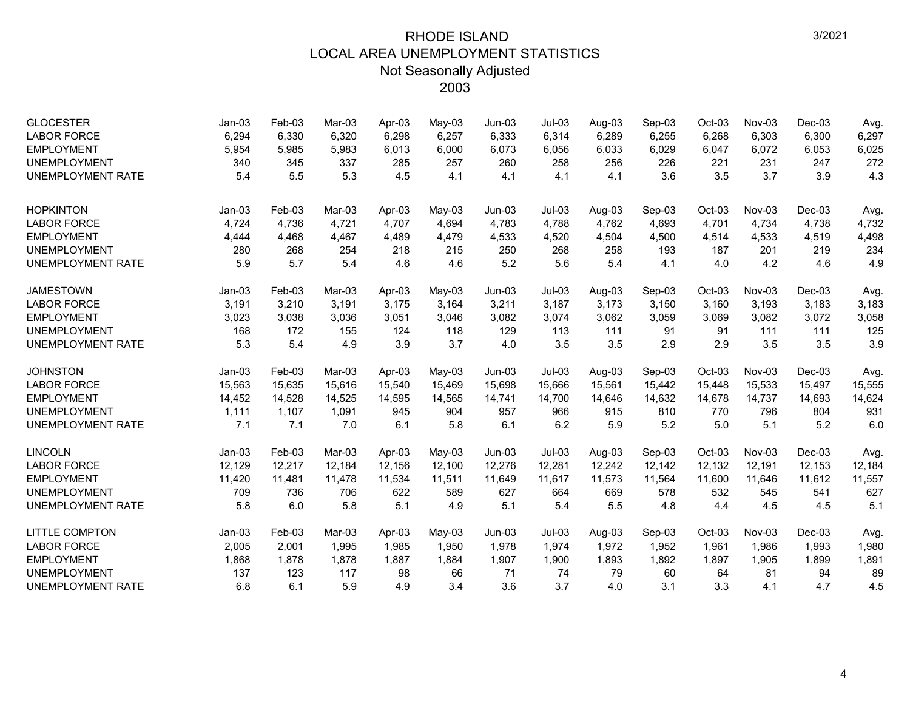| <b>GLOCESTER</b><br><b>LABOR FORCE</b> | $Jan-03$<br>6,294 | Feb-03<br>6,330 | Mar-03<br>6,320 | Apr-03<br>6,298 | $May-03$<br>6,257 | $Jun-03$<br>6,333 | $Jul-03$<br>6,314 | Aug-03<br>6,289 | Sep-03<br>6,255 | $Oct-03$<br>6,268 | Nov-03<br>6,303 | $Dec-03$<br>6,300 | Avg.<br>6,297 |
|----------------------------------------|-------------------|-----------------|-----------------|-----------------|-------------------|-------------------|-------------------|-----------------|-----------------|-------------------|-----------------|-------------------|---------------|
| <b>EMPLOYMENT</b>                      | 5,954             | 5,985           | 5,983           | 6,013           | 6,000             | 6,073             | 6,056             | 6,033           | 6,029           | 6,047             | 6,072           | 6,053             | 6,025         |
| <b>UNEMPLOYMENT</b>                    | 340               | 345             | 337             | 285             | 257               | 260               | 258               | 256             | 226             | 221               | 231             | 247               | 272           |
| <b>UNEMPLOYMENT RATE</b>               | 5.4               | 5.5             | 5.3             | 4.5             | 4.1               | 4.1               | 4.1               | 4.1             | 3.6             | 3.5               | 3.7             | 3.9               | 4.3           |
| <b>HOPKINTON</b>                       | $Jan-03$          | Feb-03          | Mar-03          | Apr-03          | $May-03$          | $Jun-03$          | $Jul-03$          | Aug-03          | Sep-03          | Oct-03            | Nov-03          | $Dec-03$          | Avg.          |
| <b>LABOR FORCE</b>                     | 4,724             | 4,736           | 4,721           | 4,707           | 4,694             | 4,783             | 4,788             | 4,762           | 4,693           | 4,701             | 4,734           | 4,738             | 4,732         |
| <b>EMPLOYMENT</b>                      | 4,444             | 4,468           | 4,467           | 4,489           | 4,479             | 4,533             | 4,520             | 4,504           | 4,500           | 4,514             | 4,533           | 4,519             | 4,498         |
| <b>UNEMPLOYMENT</b>                    | 280               | 268             | 254             | 218             | 215               | 250               | 268               | 258             | 193             | 187               | 201             | 219               | 234           |
| <b>UNEMPLOYMENT RATE</b>               | 5.9               | 5.7             | 5.4             | 4.6             | 4.6               | 5.2               | 5.6               | 5.4             | 4.1             | 4.0               | 4.2             | 4.6               | 4.9           |
| <b>JAMESTOWN</b>                       | $Jan-03$          | Feb-03          | Mar-03          | Apr-03          | $May-03$          | $Jun-03$          | $Jul-03$          | Aug-03          | Sep-03          | Oct-03            | Nov-03          | $Dec-03$          | Avg.          |
| <b>LABOR FORCE</b>                     | 3,191             | 3,210           | 3,191           | 3,175           | 3,164             | 3,211             | 3,187             | 3,173           | 3,150           | 3,160             | 3,193           | 3,183             | 3,183         |
| <b>EMPLOYMENT</b>                      | 3,023             | 3,038           | 3,036           | 3,051           | 3,046             | 3,082             | 3,074             | 3,062           | 3,059           | 3,069             | 3,082           | 3,072             | 3,058         |
| <b>UNEMPLOYMENT</b>                    | 168               | 172             | 155             | 124             | 118               | 129               | 113               | 111             | 91              | 91                | 111             | 111               | 125           |
| <b>UNEMPLOYMENT RATE</b>               | 5.3               | 5.4             | 4.9             | 3.9             | 3.7               | 4.0               | 3.5               | 3.5             | 2.9             | 2.9               | 3.5             | 3.5               | 3.9           |
| <b>JOHNSTON</b>                        | $Jan-03$          | Feb-03          | Mar-03          | Apr-03          | May-03            | $Jun-03$          | $Jul-03$          | Aug-03          | Sep-03          | Oct-03            | Nov-03          | $Dec-03$          | Avg.          |
| <b>LABOR FORCE</b>                     | 15,563            | 15,635          | 15,616          | 15,540          | 15,469            | 15,698            | 15,666            | 15,561          | 15,442          | 15,448            | 15,533          | 15,497            | 15,555        |
| <b>EMPLOYMENT</b>                      | 14,452            | 14,528          | 14,525          | 14,595          | 14,565            | 14,741            | 14,700            | 14,646          | 14,632          | 14,678            | 14,737          | 14,693            | 14,624        |
| <b>UNEMPLOYMENT</b>                    | 1,111             | 1,107           | 1,091           | 945             | 904               | 957               | 966               | 915             | 810             | 770               | 796             | 804               | 931           |
| <b>UNEMPLOYMENT RATE</b>               | 7.1               | 7.1             | 7.0             | 6.1             | 5.8               | 6.1               | 6.2               | 5.9             | 5.2             | 5.0               | 5.1             | 5.2               | 6.0           |
| <b>LINCOLN</b>                         | $Jan-03$          | Feb-03          | Mar-03          | Apr-03          | $May-03$          | $Jun-03$          | $Jul-03$          | Aug-03          | Sep-03          | Oct-03            | $Nov-03$        | $Dec-03$          | Avg.          |
| <b>LABOR FORCE</b>                     | 12,129            | 12,217          | 12,184          | 12,156          | 12,100            | 12,276            | 12,281            | 12,242          | 12,142          | 12,132            | 12,191          | 12,153            | 12,184        |
| <b>EMPLOYMENT</b>                      | 11,420            | 11,481          | 11,478          | 11,534          | 11,511            | 11,649            | 11,617            | 11,573          | 11,564          | 11,600            | 11,646          | 11,612            | 11,557        |
| <b>UNEMPLOYMENT</b>                    | 709               | 736             | 706             | 622             | 589               | 627               | 664               | 669             | 578             | 532               | 545             | 541               | 627           |
| <b>UNEMPLOYMENT RATE</b>               | 5.8               | 6.0             | 5.8             | 5.1             | 4.9               | 5.1               | 5.4               | 5.5             | 4.8             | 4.4               | 4.5             | 4.5               | 5.1           |
| <b>LITTLE COMPTON</b>                  | $Jan-03$          | Feb-03          | Mar-03          | Apr-03          | May-03            | $Jun-03$          | $Jul-03$          | Aug-03          | Sep-03          | Oct-03            | Nov-03          | $Dec-03$          | Avg.          |
| <b>LABOR FORCE</b>                     | 2,005             | 2,001           | 1,995           | 1,985           | 1,950             | 1,978             | 1,974             | 1,972           | 1,952           | 1,961             | 1,986           | 1,993             | 1,980         |
| <b>EMPLOYMENT</b>                      | 1,868             | 1,878           | 1,878           | 1,887           | 1,884             | 1,907             | 1,900             | 1,893           | 1,892           | 1,897             | 1,905           | 1,899             | 1,891         |
| <b>UNEMPLOYMENT</b>                    | 137               | 123             | 117             | 98              | 66                | 71                | 74                | 79              | 60              | 64                | 81              | 94                | 89            |
| <b>UNEMPLOYMENT RATE</b>               | 6.8               | 6.1             | 5.9             | 4.9             | 3.4               | 3.6               | 3.7               | 4.0             | 3.1             | 3.3               | 4.1             | 4.7               | 4.5           |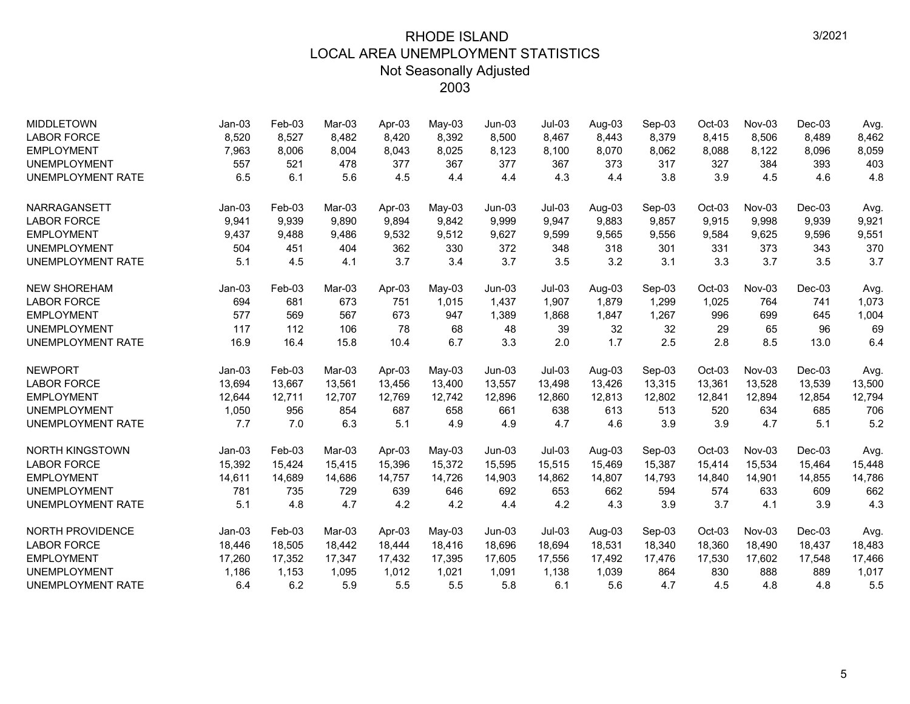| <b>MIDDLETOWN</b>        | $Jan-03$ | Feb-03 | Mar-03 | Apr-03 | $May-03$ | $Jun-03$ | $Jul-03$ | Aug-03 | Sep-03 | Oct-03   | Nov-03 | Dec-03   | Avg.   |
|--------------------------|----------|--------|--------|--------|----------|----------|----------|--------|--------|----------|--------|----------|--------|
| <b>LABOR FORCE</b>       | 8,520    | 8,527  | 8,482  | 8,420  | 8,392    | 8,500    | 8,467    | 8,443  | 8,379  | 8,415    | 8,506  | 8,489    | 8,462  |
| <b>EMPLOYMENT</b>        | 7,963    | 8,006  | 8,004  | 8,043  | 8,025    | 8,123    | 8,100    | 8.070  | 8,062  | 8,088    | 8,122  | 8,096    | 8,059  |
| <b>UNEMPLOYMENT</b>      | 557      | 521    | 478    | 377    | 367      | 377      | 367      | 373    | 317    | 327      | 384    | 393      | 403    |
| <b>UNEMPLOYMENT RATE</b> | 6.5      | 6.1    | 5.6    | 4.5    | 4.4      | 4.4      | 4.3      | 4.4    | 3.8    | 3.9      | 4.5    | 4.6      | 4.8    |
| <b>NARRAGANSETT</b>      | $Jan-03$ | Feb-03 | Mar-03 | Apr-03 | $May-03$ | $Jun-03$ | $Jul-03$ | Aug-03 | Sep-03 | Oct-03   | Nov-03 | $Dec-03$ | Avg.   |
| <b>LABOR FORCE</b>       | 9,941    | 9,939  | 9,890  | 9,894  | 9,842    | 9,999    | 9,947    | 9,883  | 9,857  | 9,915    | 9,998  | 9,939    | 9,921  |
| <b>EMPLOYMENT</b>        | 9,437    | 9,488  | 9,486  | 9,532  | 9,512    | 9,627    | 9,599    | 9,565  | 9,556  | 9,584    | 9,625  | 9,596    | 9,551  |
| <b>UNEMPLOYMENT</b>      | 504      | 451    | 404    | 362    | 330      | 372      | 348      | 318    | 301    | 331      | 373    | 343      | 370    |
| <b>UNEMPLOYMENT RATE</b> | 5.1      | 4.5    | 4.1    | 3.7    | 3.4      | 3.7      | 3.5      | 3.2    | 3.1    | 3.3      | 3.7    | 3.5      | 3.7    |
| <b>NEW SHOREHAM</b>      | $Jan-03$ | Feb-03 | Mar-03 | Apr-03 | May-03   | $Jun-03$ | $Jul-03$ | Aug-03 | Sep-03 | Oct-03   | Nov-03 | $Dec-03$ | Avg.   |
| <b>LABOR FORCE</b>       | 694      | 681    | 673    | 751    | 1,015    | 1,437    | 1,907    | 1,879  | 1,299  | 1,025    | 764    | 741      | 1,073  |
| <b>EMPLOYMENT</b>        | 577      | 569    | 567    | 673    | 947      | 1,389    | 1,868    | 1,847  | 1,267  | 996      | 699    | 645      | 1,004  |
| <b>UNEMPLOYMENT</b>      | 117      | 112    | 106    | 78     | 68       | 48       | 39       | 32     | 32     | 29       | 65     | 96       | 69     |
| <b>UNEMPLOYMENT RATE</b> | 16.9     | 16.4   | 15.8   | 10.4   | 6.7      | 3.3      | 2.0      | 1.7    | 2.5    | 2.8      | 8.5    | 13.0     | 6.4    |
| <b>NEWPORT</b>           | $Jan-03$ | Feb-03 | Mar-03 | Apr-03 | May-03   | $Jun-03$ | $Jul-03$ | Aug-03 | Sep-03 | Oct-03   | Nov-03 | $Dec-03$ | Avg.   |
| <b>LABOR FORCE</b>       | 13,694   | 13,667 | 13,561 | 13,456 | 13,400   | 13,557   | 13,498   | 13,426 | 13,315 | 13,361   | 13,528 | 13,539   | 13,500 |
| <b>EMPLOYMENT</b>        | 12,644   | 12,711 | 12,707 | 12,769 | 12,742   | 12,896   | 12,860   | 12,813 | 12,802 | 12,841   | 12,894 | 12,854   | 12,794 |
| <b>UNEMPLOYMENT</b>      | 1,050    | 956    | 854    | 687    | 658      | 661      | 638      | 613    | 513    | 520      | 634    | 685      | 706    |
| <b>UNEMPLOYMENT RATE</b> | 7.7      | 7.0    | 6.3    | 5.1    | 4.9      | 4.9      | 4.7      | 4.6    | 3.9    | 3.9      | 4.7    | 5.1      | 5.2    |
| <b>NORTH KINGSTOWN</b>   | $Jan-03$ | Feb-03 | Mar-03 | Apr-03 | $May-03$ | $Jun-03$ | $Jul-03$ | Aug-03 | Sep-03 | Oct-03   | Nov-03 | $Dec-03$ | Avg.   |
| <b>LABOR FORCE</b>       | 15,392   | 15,424 | 15,415 | 15,396 | 15,372   | 15,595   | 15,515   | 15,469 | 15,387 | 15,414   | 15,534 | 15,464   | 15,448 |
| <b>EMPLOYMENT</b>        | 14,611   | 14,689 | 14,686 | 14,757 | 14,726   | 14,903   | 14,862   | 14,807 | 14,793 | 14,840   | 14,901 | 14,855   | 14,786 |
| <b>UNEMPLOYMENT</b>      | 781      | 735    | 729    | 639    | 646      | 692      | 653      | 662    | 594    | 574      | 633    | 609      | 662    |
| <b>UNEMPLOYMENT RATE</b> | 5.1      | 4.8    | 4.7    | 4.2    | 4.2      | 4.4      | 4.2      | 4.3    | 3.9    | 3.7      | 4.1    | 3.9      | 4.3    |
| <b>NORTH PROVIDENCE</b>  | $Jan-03$ | Feb-03 | Mar-03 | Apr-03 | May-03   | $Jun-03$ | $Jul-03$ | Aug-03 | Sep-03 | $Oct-03$ | Nov-03 | $Dec-03$ | Avg.   |
| <b>LABOR FORCE</b>       | 18,446   | 18,505 | 18,442 | 18,444 | 18,416   | 18,696   | 18,694   | 18,531 | 18,340 | 18,360   | 18,490 | 18,437   | 18,483 |
| <b>EMPLOYMENT</b>        | 17,260   | 17,352 | 17.347 | 17,432 | 17,395   | 17,605   | 17,556   | 17,492 | 17,476 | 17,530   | 17,602 | 17,548   | 17,466 |
| <b>UNEMPLOYMENT</b>      | 1,186    | 1,153  | 1,095  | 1,012  | 1,021    | 1,091    | 1,138    | 1,039  | 864    | 830      | 888    | 889      | 1,017  |
| <b>UNEMPLOYMENT RATE</b> | 6.4      | 6.2    | 5.9    | 5.5    | 5.5      | 5.8      | 6.1      | 5.6    | 4.7    | 4.5      | 4.8    | 4.8      | 5.5    |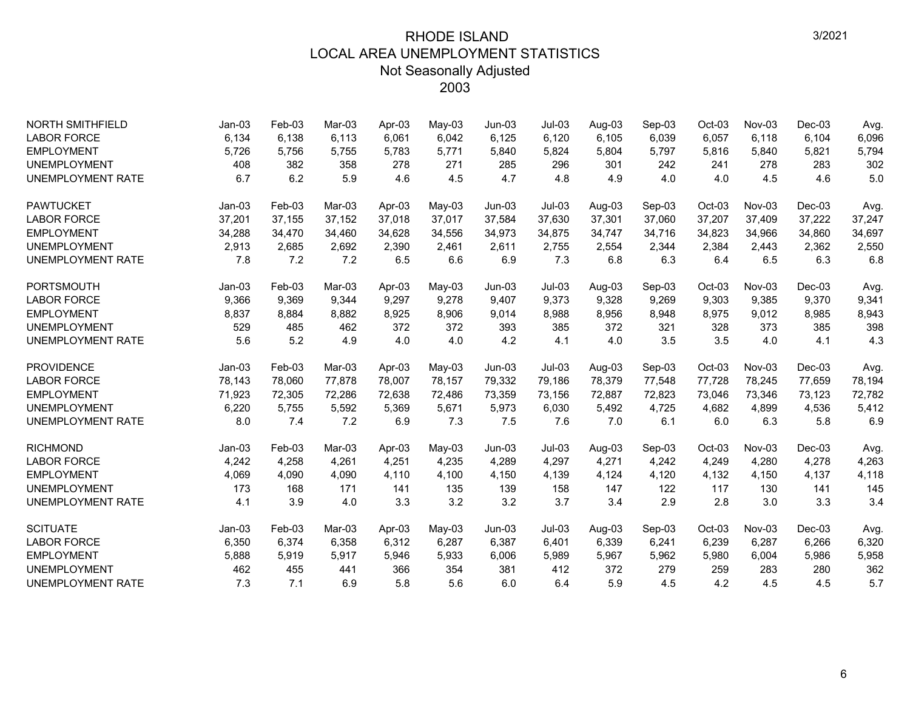| <b>NORTH SMITHFIELD</b>  | $Jan-03$ | Feb-03 | Mar-03 | Apr-03 | May-03   | $Jun-03$ | $Jul-03$ | Aug-03 | Sep-03 | Oct-03 | $Nov-03$ | $Dec-03$ | Avg.   |
|--------------------------|----------|--------|--------|--------|----------|----------|----------|--------|--------|--------|----------|----------|--------|
| <b>LABOR FORCE</b>       | 6,134    | 6,138  | 6,113  | 6,061  | 6,042    | 6,125    | 6,120    | 6,105  | 6,039  | 6,057  | 6,118    | 6,104    | 6,096  |
| <b>EMPLOYMENT</b>        | 5,726    | 5,756  | 5,755  | 5,783  | 5,771    | 5,840    | 5,824    | 5,804  | 5,797  | 5,816  | 5,840    | 5,821    | 5,794  |
| <b>UNEMPLOYMENT</b>      | 408      | 382    | 358    | 278    | 271      | 285      | 296      | 301    | 242    | 241    | 278      | 283      | 302    |
| <b>UNEMPLOYMENT RATE</b> | 6.7      | 6.2    | 5.9    | 4.6    | 4.5      | 4.7      | 4.8      | 4.9    | 4.0    | 4.0    | 4.5      | 4.6      | 5.0    |
| <b>PAWTUCKET</b>         | $Jan-03$ | Feb-03 | Mar-03 | Apr-03 | $May-03$ | $Jun-03$ | $Jul-03$ | Aug-03 | Sep-03 | Oct-03 | Nov-03   | Dec-03   | Avg.   |
| <b>LABOR FORCE</b>       | 37,201   | 37,155 | 37,152 | 37,018 | 37,017   | 37,584   | 37,630   | 37,301 | 37,060 | 37,207 | 37,409   | 37,222   | 37,247 |
| <b>EMPLOYMENT</b>        | 34,288   | 34,470 | 34,460 | 34,628 | 34,556   | 34,973   | 34,875   | 34,747 | 34,716 | 34,823 | 34,966   | 34,860   | 34,697 |
| <b>UNEMPLOYMENT</b>      | 2,913    | 2,685  | 2,692  | 2,390  | 2,461    | 2,611    | 2,755    | 2,554  | 2,344  | 2,384  | 2,443    | 2,362    | 2,550  |
| <b>UNEMPLOYMENT RATE</b> | 7.8      | 7.2    | 7.2    | 6.5    | 6.6      | 6.9      | 7.3      | 6.8    | 6.3    | 6.4    | 6.5      | 6.3      | 6.8    |
| <b>PORTSMOUTH</b>        | $Jan-03$ | Feb-03 | Mar-03 | Apr-03 | $May-03$ | $Jun-03$ | $Jul-03$ | Aug-03 | Sep-03 | Oct-03 | Nov-03   | $Dec-03$ | Avg.   |
| <b>LABOR FORCE</b>       | 9,366    | 9,369  | 9,344  | 9,297  | 9,278    | 9,407    | 9,373    | 9,328  | 9,269  | 9,303  | 9,385    | 9,370    | 9,341  |
| <b>EMPLOYMENT</b>        | 8,837    | 8,884  | 8,882  | 8,925  | 8,906    | 9,014    | 8,988    | 8,956  | 8,948  | 8,975  | 9,012    | 8,985    | 8,943  |
| <b>UNEMPLOYMENT</b>      | 529      | 485    | 462    | 372    | 372      | 393      | 385      | 372    | 321    | 328    | 373      | 385      | 398    |
| <b>UNEMPLOYMENT RATE</b> | 5.6      | 5.2    | 4.9    | 4.0    | 4.0      | 4.2      | 4.1      | 4.0    | 3.5    | 3.5    | 4.0      | 4.1      | 4.3    |
| <b>PROVIDENCE</b>        | $Jan-03$ | Feb-03 | Mar-03 | Apr-03 | $May-03$ | $Jun-03$ | $Jul-03$ | Aug-03 | Sep-03 | Oct-03 | Nov-03   | $Dec-03$ | Avg.   |
| <b>LABOR FORCE</b>       | 78,143   | 78,060 | 77,878 | 78,007 | 78,157   | 79,332   | 79,186   | 78,379 | 77,548 | 77,728 | 78,245   | 77,659   | 78,194 |
| <b>EMPLOYMENT</b>        | 71,923   | 72,305 | 72,286 | 72,638 | 72,486   | 73,359   | 73,156   | 72,887 | 72,823 | 73,046 | 73,346   | 73,123   | 72,782 |
| <b>UNEMPLOYMENT</b>      | 6,220    | 5,755  | 5,592  | 5,369  | 5,671    | 5,973    | 6,030    | 5,492  | 4,725  | 4,682  | 4,899    | 4,536    | 5,412  |
| <b>UNEMPLOYMENT RATE</b> | 8.0      | 7.4    | 7.2    | 6.9    | 7.3      | 7.5      | 7.6      | 7.0    | 6.1    | 6.0    | 6.3      | 5.8      | 6.9    |
| <b>RICHMOND</b>          | $Jan-03$ | Feb-03 | Mar-03 | Apr-03 | May-03   | $Jun-03$ | $Jul-03$ | Aug-03 | Sep-03 | Oct-03 | Nov-03   | Dec-03   | Avg.   |
| <b>LABOR FORCE</b>       | 4,242    | 4,258  | 4,261  | 4,251  | 4,235    | 4,289    | 4,297    | 4,271  | 4,242  | 4,249  | 4,280    | 4,278    | 4,263  |
| <b>EMPLOYMENT</b>        | 4,069    | 4,090  | 4,090  | 4,110  | 4,100    | 4,150    | 4,139    | 4.124  | 4,120  | 4,132  | 4,150    | 4,137    | 4,118  |
| <b>UNEMPLOYMENT</b>      | 173      | 168    | 171    | 141    | 135      | 139      | 158      | 147    | 122    | 117    | 130      | 141      | 145    |
| <b>UNEMPLOYMENT RATE</b> | 4.1      | 3.9    | 4.0    | 3.3    | 3.2      | 3.2      | 3.7      | 3.4    | 2.9    | 2.8    | 3.0      | 3.3      | 3.4    |
| <b>SCITUATE</b>          | $Jan-03$ | Feb-03 | Mar-03 | Apr-03 | $May-03$ | $Jun-03$ | $Jul-03$ | Aug-03 | Sep-03 | Oct-03 | Nov-03   | $Dec-03$ | Avg.   |
| <b>LABOR FORCE</b>       | 6,350    | 6,374  | 6,358  | 6,312  | 6,287    | 6,387    | 6,401    | 6,339  | 6,241  | 6,239  | 6,287    | 6,266    | 6,320  |
| <b>EMPLOYMENT</b>        | 5,888    | 5,919  | 5,917  | 5,946  | 5,933    | 6,006    | 5,989    | 5,967  | 5,962  | 5,980  | 6,004    | 5,986    | 5,958  |
| <b>UNEMPLOYMENT</b>      | 462      | 455    | 441    | 366    | 354      | 381      | 412      | 372    | 279    | 259    | 283      | 280      | 362    |
| <b>UNEMPLOYMENT RATE</b> | 7.3      | 7.1    | 6.9    | 5.8    | 5.6      | 6.0      | 6.4      | 5.9    | 4.5    | 4.2    | 4.5      | 4.5      | 5.7    |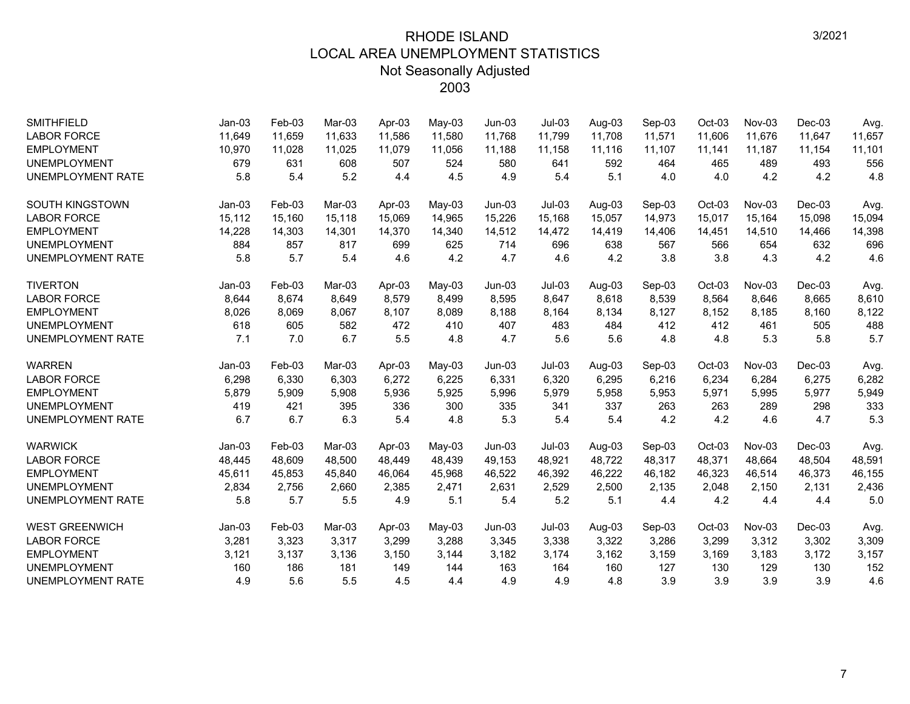| <b>SMITHFIELD</b>        | $Jan-03$ | Feb-03 | Mar-03 | Apr-03 | $May-03$ | $Jun-03$ | $Jul-03$ | Aug-03 | Sep-03 | Oct-03   | Nov-03   | Dec-03   | Avg.   |
|--------------------------|----------|--------|--------|--------|----------|----------|----------|--------|--------|----------|----------|----------|--------|
| <b>LABOR FORCE</b>       | 11,649   | 11,659 | 11.633 | 11.586 | 11,580   | 11,768   | 11,799   | 11,708 | 11,571 | 11,606   | 11,676   | 11.647   | 11,657 |
| <b>EMPLOYMENT</b>        | 10,970   | 11,028 | 11,025 | 11,079 | 11,056   | 11,188   | 11,158   | 11,116 | 11,107 | 11,141   | 11,187   | 11,154   | 11,101 |
| <b>UNEMPLOYMENT</b>      | 679      | 631    | 608    | 507    | 524      | 580      | 641      | 592    | 464    | 465      | 489      | 493      | 556    |
| <b>UNEMPLOYMENT RATE</b> | 5.8      | 5.4    | 5.2    | 4.4    | 4.5      | 4.9      | 5.4      | 5.1    | 4.0    | 4.0      | 4.2      | 4.2      | 4.8    |
| <b>SOUTH KINGSTOWN</b>   | $Jan-03$ | Feb-03 | Mar-03 | Apr-03 | May-03   | $Jun-03$ | $Jul-03$ | Aug-03 | Sep-03 | Oct-03   | Nov-03   | $Dec-03$ | Avg.   |
| <b>LABOR FORCE</b>       | 15,112   | 15,160 | 15,118 | 15,069 | 14,965   | 15,226   | 15,168   | 15,057 | 14,973 | 15,017   | 15,164   | 15,098   | 15,094 |
| <b>EMPLOYMENT</b>        | 14,228   | 14,303 | 14,301 | 14,370 | 14,340   | 14,512   | 14,472   | 14,419 | 14,406 | 14,451   | 14,510   | 14,466   | 14,398 |
| <b>UNEMPLOYMENT</b>      | 884      | 857    | 817    | 699    | 625      | 714      | 696      | 638    | 567    | 566      | 654      | 632      | 696    |
| <b>UNEMPLOYMENT RATE</b> | 5.8      | 5.7    | 5.4    | 4.6    | 4.2      | 4.7      | 4.6      | 4.2    | 3.8    | 3.8      | 4.3      | 4.2      | 4.6    |
| <b>TIVERTON</b>          | $Jan-03$ | Feb-03 | Mar-03 | Apr-03 | May-03   | $Jun-03$ | $Jul-03$ | Aug-03 | Sep-03 | Oct-03   | $Nov-03$ | $Dec-03$ | Avg.   |
| <b>LABOR FORCE</b>       | 8,644    | 8,674  | 8,649  | 8,579  | 8,499    | 8,595    | 8,647    | 8,618  | 8,539  | 8,564    | 8,646    | 8,665    | 8,610  |
| <b>EMPLOYMENT</b>        | 8,026    | 8,069  | 8,067  | 8,107  | 8,089    | 8,188    | 8,164    | 8,134  | 8,127  | 8,152    | 8,185    | 8,160    | 8,122  |
| <b>UNEMPLOYMENT</b>      | 618      | 605    | 582    | 472    | 410      | 407      | 483      | 484    | 412    | 412      | 461      | 505      | 488    |
| <b>UNEMPLOYMENT RATE</b> | 7.1      | 7.0    | 6.7    | 5.5    | 4.8      | 4.7      | 5.6      | 5.6    | 4.8    | 4.8      | 5.3      | 5.8      | 5.7    |
| <b>WARREN</b>            | $Jan-03$ | Feb-03 | Mar-03 | Apr-03 | $May-03$ | $Jun-03$ | $Jul-03$ | Aug-03 | Sep-03 | $Oct-03$ | $Nov-03$ | $Dec-03$ | Avg.   |
| <b>LABOR FORCE</b>       | 6,298    | 6,330  | 6.303  | 6,272  | 6,225    | 6,331    | 6,320    | 6,295  | 6,216  | 6,234    | 6,284    | 6,275    | 6,282  |
| <b>EMPLOYMENT</b>        | 5,879    | 5,909  | 5,908  | 5,936  | 5,925    | 5,996    | 5,979    | 5,958  | 5,953  | 5,971    | 5,995    | 5,977    | 5,949  |
| <b>UNEMPLOYMENT</b>      | 419      | 421    | 395    | 336    | 300      | 335      | 341      | 337    | 263    | 263      | 289      | 298      | 333    |
| <b>UNEMPLOYMENT RATE</b> | 6.7      | 6.7    | 6.3    | 5.4    | 4.8      | 5.3      | 5.4      | 5.4    | 4.2    | 4.2      | 4.6      | 4.7      | 5.3    |
| <b>WARWICK</b>           | $Jan-03$ | Feb-03 | Mar-03 | Apr-03 | $May-03$ | $Jun-03$ | $Jul-03$ | Aug-03 | Sep-03 | Oct-03   | $Nov-03$ | $Dec-03$ | Avg.   |
| <b>LABOR FORCE</b>       | 48,445   | 48,609 | 48.500 | 48.449 | 48,439   | 49,153   | 48,921   | 48.722 | 48,317 | 48.371   | 48.664   | 48.504   | 48,591 |
| <b>EMPLOYMENT</b>        | 45,611   | 45,853 | 45,840 | 46,064 | 45,968   | 46,522   | 46,392   | 46,222 | 46,182 | 46,323   | 46,514   | 46,373   | 46,155 |
| <b>UNEMPLOYMENT</b>      | 2,834    | 2,756  | 2,660  | 2,385  | 2,471    | 2,631    | 2,529    | 2,500  | 2,135  | 2,048    | 2,150    | 2,131    | 2,436  |
| <b>UNEMPLOYMENT RATE</b> | 5.8      | 5.7    | 5.5    | 4.9    | 5.1      | 5.4      | 5.2      | 5.1    | 4.4    | 4.2      | 4.4      | 4.4      | 5.0    |
| <b>WEST GREENWICH</b>    | $Jan-03$ | Feb-03 | Mar-03 | Apr-03 | May-03   | $Jun-03$ | $Jul-03$ | Aug-03 | Sep-03 | $Oct-03$ | Nov-03   | $Dec-03$ | Avg.   |
| <b>LABOR FORCE</b>       | 3,281    | 3,323  | 3,317  | 3,299  | 3,288    | 3,345    | 3,338    | 3,322  | 3,286  | 3,299    | 3,312    | 3,302    | 3,309  |
| <b>EMPLOYMENT</b>        | 3,121    | 3,137  | 3,136  | 3,150  | 3,144    | 3,182    | 3,174    | 3,162  | 3,159  | 3,169    | 3,183    | 3,172    | 3,157  |
| <b>UNEMPLOYMENT</b>      | 160      | 186    | 181    | 149    | 144      | 163      | 164      | 160    | 127    | 130      | 129      | 130      | 152    |
| <b>UNEMPLOYMENT RATE</b> | 4.9      | 5.6    | 5.5    | 4.5    | 4.4      | 4.9      | 4.9      | 4.8    | 3.9    | 3.9      | 3.9      | 3.9      | 4.6    |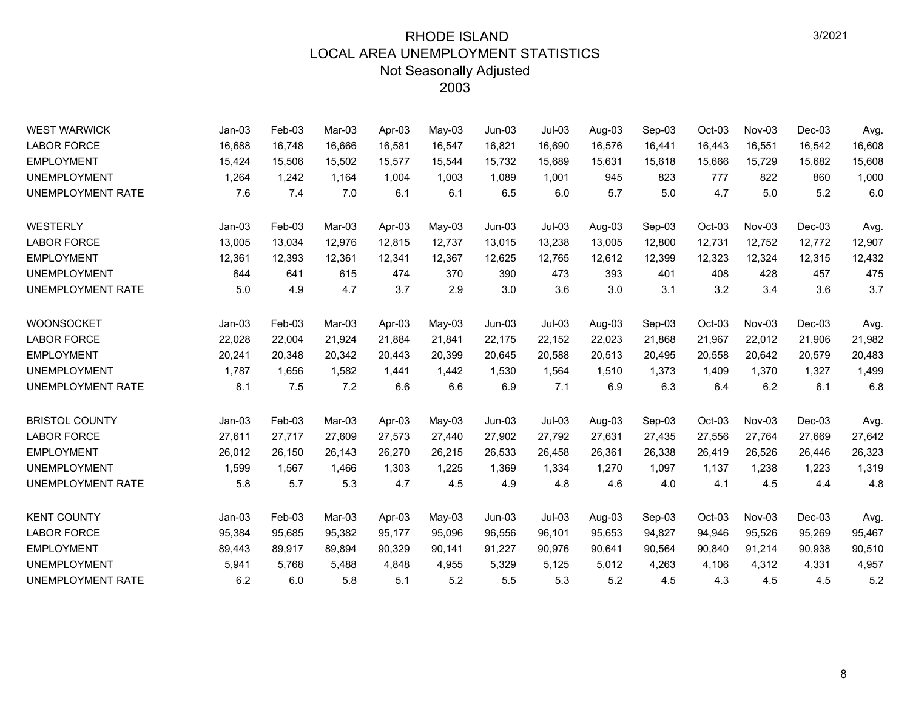| <b>WEST WARWICK</b>      | $Jan-03$ | Feb-03 | Mar-03 | Apr-03 | May-03   | $Jun-03$ | $Jul-03$ | Aug-03 | Sep-03 | Oct-03 | Nov-03 | $Dec-03$ | Avg.   |
|--------------------------|----------|--------|--------|--------|----------|----------|----------|--------|--------|--------|--------|----------|--------|
| <b>LABOR FORCE</b>       | 16,688   | 16,748 | 16,666 | 16,581 | 16,547   | 16,821   | 16,690   | 16,576 | 16,441 | 16,443 | 16,551 | 16,542   | 16,608 |
| <b>EMPLOYMENT</b>        | 15,424   | 15,506 | 15,502 | 15,577 | 15,544   | 15,732   | 15,689   | 15,631 | 15,618 | 15,666 | 15,729 | 15,682   | 15,608 |
| <b>UNEMPLOYMENT</b>      | 1,264    | 1,242  | 1,164  | 1,004  | 1,003    | 1,089    | 1,001    | 945    | 823    | 777    | 822    | 860      | 1,000  |
| UNEMPLOYMENT RATE        | 7.6      | 7.4    | 7.0    | 6.1    | 6.1      | 6.5      | 6.0      | 5.7    | 5.0    | 4.7    | 5.0    | 5.2      | 6.0    |
| WESTERLY                 | $Jan-03$ | Feb-03 | Mar-03 | Apr-03 | May-03   | $Jun-03$ | $Jul-03$ | Aug-03 | Sep-03 | Oct-03 | Nov-03 | $Dec-03$ | Avg.   |
| <b>LABOR FORCE</b>       | 13,005   | 13,034 | 12,976 | 12,815 | 12,737   | 13,015   | 13,238   | 13,005 | 12,800 | 12,731 | 12,752 | 12,772   | 12,907 |
| <b>EMPLOYMENT</b>        | 12,361   | 12,393 | 12,361 | 12,341 | 12,367   | 12,625   | 12,765   | 12,612 | 12,399 | 12,323 | 12,324 | 12,315   | 12,432 |
| <b>UNEMPLOYMENT</b>      | 644      | 641    | 615    | 474    | 370      | 390      | 473      | 393    | 401    | 408    | 428    | 457      | 475    |
| UNEMPLOYMENT RATE        | 5.0      | 4.9    | 4.7    | 3.7    | 2.9      | 3.0      | 3.6      | 3.0    | 3.1    | 3.2    | 3.4    | 3.6      | 3.7    |
| <b>WOONSOCKET</b>        | $Jan-03$ | Feb-03 | Mar-03 | Apr-03 | $May-03$ | $Jun-03$ | $Jul-03$ | Aug-03 | Sep-03 | Oct-03 | Nov-03 | $Dec-03$ | Avg.   |
| <b>LABOR FORCE</b>       | 22,028   | 22,004 | 21,924 | 21,884 | 21,841   | 22,175   | 22,152   | 22,023 | 21,868 | 21,967 | 22,012 | 21,906   | 21,982 |
| <b>EMPLOYMENT</b>        | 20,241   | 20,348 | 20.342 | 20.443 | 20.399   | 20,645   | 20.588   | 20,513 | 20.495 | 20,558 | 20.642 | 20,579   | 20,483 |
| <b>UNEMPLOYMENT</b>      | 1,787    | 1,656  | 1,582  | 1,441  | 1,442    | 1,530    | 1,564    | 1,510  | 1,373  | 1,409  | 1,370  | 1,327    | 1,499  |
| UNEMPLOYMENT RATE        | 8.1      | 7.5    | 7.2    | 6.6    | 6.6      | 6.9      | 7.1      | 6.9    | 6.3    | 6.4    | 6.2    | 6.1      | 6.8    |
| <b>BRISTOL COUNTY</b>    | $Jan-03$ | Feb-03 | Mar-03 | Apr-03 | $May-03$ | $Jun-03$ | $Jul-03$ | Aug-03 | Sep-03 | Oct-03 | Nov-03 | $Dec-03$ | Avg.   |
| <b>LABOR FORCE</b>       | 27,611   | 27,717 | 27,609 | 27,573 | 27,440   | 27,902   | 27,792   | 27,631 | 27,435 | 27,556 | 27,764 | 27,669   | 27,642 |
| <b>EMPLOYMENT</b>        | 26,012   | 26,150 | 26,143 | 26,270 | 26,215   | 26,533   | 26,458   | 26,361 | 26,338 | 26,419 | 26,526 | 26,446   | 26,323 |
| <b>UNEMPLOYMENT</b>      | 1,599    | 1,567  | 1,466  | 1,303  | 1,225    | 1,369    | 1,334    | 1,270  | 1,097  | 1,137  | 1,238  | 1,223    | 1,319  |
| <b>UNEMPLOYMENT RATE</b> | 5.8      | 5.7    | 5.3    | 4.7    | 4.5      | 4.9      | 4.8      | 4.6    | 4.0    | 4.1    | 4.5    | 4.4      | 4.8    |
| <b>KENT COUNTY</b>       | $Jan-03$ | Feb-03 | Mar-03 | Apr-03 | $May-03$ | $Jun-03$ | $Jul-03$ | Aug-03 | Sep-03 | Oct-03 | Nov-03 | $Dec-03$ | Avg.   |
| <b>LABOR FORCE</b>       | 95,384   | 95,685 | 95,382 | 95,177 | 95,096   | 96,556   | 96,101   | 95,653 | 94,827 | 94,946 | 95,526 | 95,269   | 95,467 |
| <b>EMPLOYMENT</b>        | 89,443   | 89,917 | 89,894 | 90,329 | 90,141   | 91,227   | 90,976   | 90,641 | 90,564 | 90,840 | 91,214 | 90,938   | 90,510 |
| <b>UNEMPLOYMENT</b>      | 5,941    | 5,768  | 5,488  | 4,848  | 4,955    | 5,329    | 5,125    | 5,012  | 4,263  | 4,106  | 4,312  | 4,331    | 4,957  |
| UNEMPLOYMENT RATE        | 6.2      | 6.0    | 5.8    | 5.1    | 5.2      | 5.5      | 5.3      | 5.2    | 4.5    | 4.3    | 4.5    | 4.5      | 5.2    |